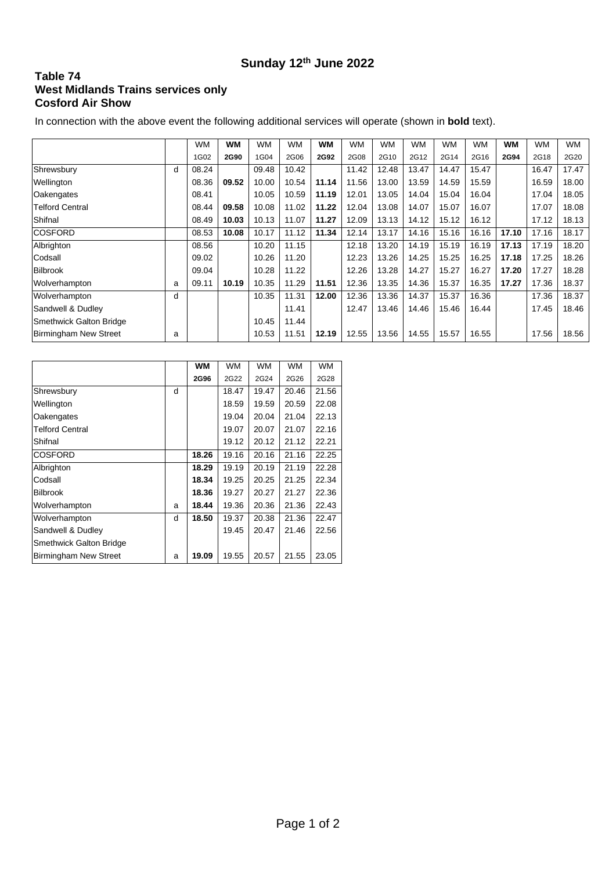## **Sunday 12th June 2022**

## **Table 74 West Midlands Trains services only Cosford Air Show**

In connection with the above event the following additional services will operate (shown in **bold** text).

|                                |   | <b>WM</b> | <b>WM</b> | <b>WM</b> | <b>WM</b> | <b>WM</b> | <b>WM</b> | <b>WM</b> | <b>WM</b> | <b>WM</b> | <b>WM</b> | WМ    | WM    | <b>WM</b> |
|--------------------------------|---|-----------|-----------|-----------|-----------|-----------|-----------|-----------|-----------|-----------|-----------|-------|-------|-----------|
|                                |   | 1G02      | 2G90      | 1G04      | 2G06      | 2G92      | 2G08      | 2G10      | 2G12      | 2G14      | 2G16      | 2G94  | 2G18  | 2G20      |
| Shrewsbury                     | d | 08.24     |           | 09.48     | 10.42     |           | 11.42     | 12.48     | 13.47     | 14.47     | 15.47     |       | 16.47 | 17.47     |
| Wellington                     |   | 08.36     | 09.52     | 10.00     | 10.54     | 11.14     | 11.56     | 13.00     | 13.59     | 14.59     | 15.59     |       | 16.59 | 18.00     |
| Oakengates                     |   | 08.41     |           | 10.05     | 10.59     | 11.19     | 12.01     | 13.05     | 14.04     | 15.04     | 16.04     |       | 17.04 | 18.05     |
| <b>Telford Central</b>         |   | 08.44     | 09.58     | 10.08     | 11.02     | 11.22     | 12.04     | 13.08     | 14.07     | 15.07     | 16.07     |       | 17.07 | 18.08     |
| Shifnal                        |   | 08.49     | 10.03     | 10.13     | 11.07     | 11.27     | 12.09     | 13.13     | 14.12     | 15.12     | 16.12     |       | 17.12 | 18.13     |
| <b>COSFORD</b>                 |   | 08.53     | 10.08     | 10.17     | 11.12     | 11.34     | 12.14     | 13.17     | 14.16     | 15.16     | 16.16     | 17.10 | 17.16 | 18.17     |
| Albrighton                     |   | 08.56     |           | 10.20     | 11.15     |           | 12.18     | 13.20     | 14.19     | 15.19     | 16.19     | 17.13 | 17.19 | 18.20     |
| Codsall                        |   | 09.02     |           | 10.26     | 11.20     |           | 12.23     | 13.26     | 14.25     | 15.25     | 16.25     | 17.18 | 17.25 | 18.26     |
| <b>Bilbrook</b>                |   | 09.04     |           | 10.28     | 11.22     |           | 12.26     | 13.28     | 14.27     | 15.27     | 16.27     | 17.20 | 17.27 | 18.28     |
| Wolverhampton                  | a | 09.11     | 10.19     | 10.35     | 11.29     | 11.51     | 12.36     | 13.35     | 14.36     | 15.37     | 16.35     | 17.27 | 17.36 | 18.37     |
| Wolverhampton                  | d |           |           | 10.35     | 11.31     | 12.00     | 12.36     | 13.36     | 14.37     | 15.37     | 16.36     |       | 17.36 | 18.37     |
| Sandwell & Dudley              |   |           |           |           | 11.41     |           | 12.47     | 13.46     | 14.46     | 15.46     | 16.44     |       | 17.45 | 18.46     |
| <b>Smethwick Galton Bridge</b> |   |           |           | 10.45     | 11.44     |           |           |           |           |           |           |       |       |           |
| Birmingham New Street          | a |           |           | 10.53     | 11.51     | 12.19     | 12.55     | 13.56     | 14.55     | 15.57     | 16.55     |       | 17.56 | 18.56     |

|                                |   | WМ          | WM    | <b>WM</b> | <b>WM</b> | <b>WM</b> |
|--------------------------------|---|-------------|-------|-----------|-----------|-----------|
|                                |   | <b>2G96</b> | 2G22  | 2G24      | 2G26      | 2G28      |
| Shrewsbury                     | d |             | 18.47 | 19.47     | 20.46     | 21.56     |
| Wellington                     |   |             | 18.59 | 19.59     | 20.59     | 22.08     |
| Oakengates                     |   |             | 19.04 | 20.04     | 21.04     | 22.13     |
| <b>Telford Central</b>         |   |             | 19.07 | 20.07     | 21.07     | 22.16     |
| Shifnal                        |   |             | 19.12 | 20.12     | 21.12     | 22.21     |
| <b>COSFORD</b>                 |   | 18.26       | 19.16 | 20.16     | 21.16     | 22.25     |
| Albrighton                     |   | 18.29       | 19.19 | 20.19     | 21.19     | 22.28     |
| Codsall                        |   | 18.34       | 19.25 | 20.25     | 21.25     | 22.34     |
| <b>Bilbrook</b>                |   | 18.36       | 19.27 | 20.27     | 21.27     | 22.36     |
| Wolverhampton                  | a | 18.44       | 19.36 | 20.36     | 21.36     | 22.43     |
| Wolverhampton                  | d | 18.50       | 19.37 | 20.38     | 21.36     | 22.47     |
| Sandwell & Dudley              |   |             | 19.45 | 20.47     | 21.46     | 22.56     |
| <b>Smethwick Galton Bridge</b> |   |             |       |           |           |           |
| <b>Birmingham New Street</b>   | a | 19.09       | 19.55 | 20.57     | 21.55     | 23.05     |